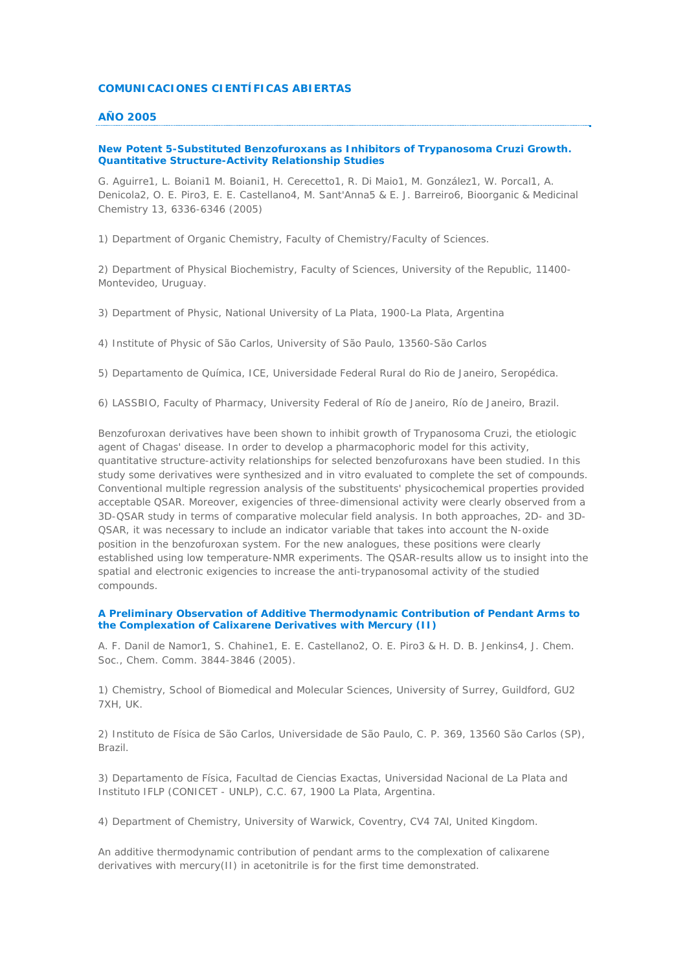#### **COMUNICACIONES CIENTÍFICAS ABIERTAS**

### **AÑO 2005**

# **New Potent 5-Substituted Benzofuroxans as Inhibitors of Trypanosoma Cruzi Growth. Quantitative Structure-Activity Relationship Studies**

*G. Aguirre1, L. Boiani1 M. Boiani1, H. Cerecetto1, R. Di Maio1, M. González1, W. Porcal1, A. Denicola2, O. E. Piro3, E. E. Castellano4, M. Sant'Anna5 & E. J. Barreiro6, Bioorganic & Medicinal Chemistry 13, 6336-6346 (2005)*

1) Department of Organic Chemistry, Faculty of Chemistry/Faculty of Sciences.

2) Department of Physical Biochemistry, Faculty of Sciences, University of the Republic, 11400- Montevideo, Uruguay.

3) Department of Physic, National University of La Plata, 1900-La Plata, Argentina

4) Institute of Physic of São Carlos, University of São Paulo, 13560-São Carlos

5) Departamento de Química, ICE, Universidade Federal Rural do Rio de Janeiro, Seropédica.

6) LASSBIO, Faculty of Pharmacy, University Federal of Río de Janeiro, Río de Janeiro, Brazil.

Benzofuroxan derivatives have been shown to inhibit growth of Trypanosoma Cruzi, the etiologic agent of Chagas' disease. In order to develop a pharmacophoric model for this activity, quantitative structure-activity relationships for selected benzofuroxans have been studied. In this study some derivatives were synthesized and in vitro evaluated to complete the set of compounds. Conventional multiple regression analysis of the substituents' physicochemical properties provided acceptable QSAR. Moreover, exigencies of three-dimensional activity were clearly observed from a 3D-QSAR study in terms of comparative molecular field analysis. In both approaches, 2D- and 3D-QSAR, it was necessary to include an indicator variable that takes into account the N-oxide position in the benzofuroxan system. For the new analogues, these positions were clearly established using low temperature-NMR experiments. The QSAR-results allow us to insight into the spatial and electronic exigencies to increase the anti-trypanosomal activity of the studied compounds.

## **A Preliminary Observation of Additive Thermodynamic Contribution of Pendant Arms to the Complexation of Calixarene Derivatives with Mercury (II)**

*A. F. Danil de Namor1, S. Chahine1, E. E. Castellano2, O. E. Piro3 & H. D. B. Jenkins4, J. Chem. Soc., Chem. Comm. 3844-3846 (2005).*

1) Chemistry, School of Biomedical and Molecular Sciences, University of Surrey, Guildford, GU2 7XH, UK.

2) Instituto de Física de São Carlos, Universidade de São Paulo, C. P. 369, 13560 São Carlos (SP), Brazil.

3) Departamento de Física, Facultad de Ciencias Exactas, Universidad Nacional de La Plata and Instituto IFLP (CONICET - UNLP), C.C. 67, 1900 La Plata, Argentina.

4) Department of Chemistry, University of Warwick, Coventry, CV4 7Al, United Kingdom.

An additive thermodynamic contribution of pendant arms to the complexation of calixarene derivatives with mercury(II) in acetonitrile is for the first time demonstrated.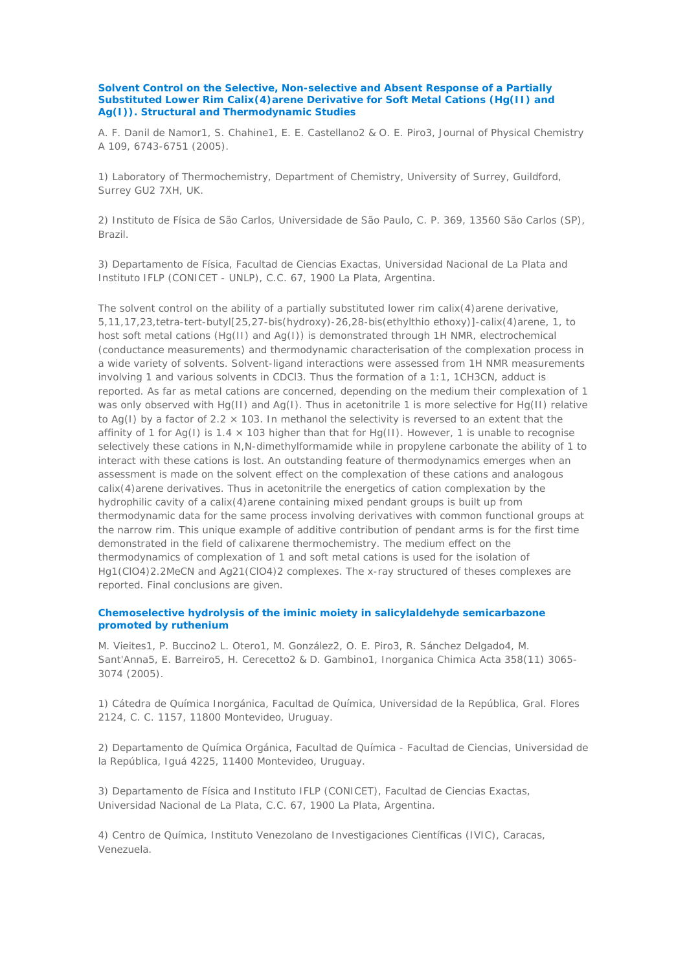**Solvent Control on the Selective, Non-selective and Absent Response of a Partially Substituted Lower Rim Calix(4)arene Derivative for Soft Metal Cations (Hg(II) and Ag(I)). Structural and Thermodynamic Studies** 

*A. F. Danil de Namor1, S. Chahine1, E. E. Castellano2 & O. E. Piro3, Journal of Physical Chemistry A 109, 6743-6751 (2005).*

1) Laboratory of Thermochemistry, Department of Chemistry, University of Surrey, Guildford, Surrey GU2 7XH, UK.

2) Instituto de Física de São Carlos, Universidade de São Paulo, C. P. 369, 13560 São Carlos (SP), Brazil.

3) Departamento de Física, Facultad de Ciencias Exactas, Universidad Nacional de La Plata and Instituto IFLP (CONICET - UNLP), C.C. 67, 1900 La Plata, Argentina.

The solvent control on the ability of a partially substituted lower rim calix $(4)$ arene derivative, 5,11,17,23,tetra-tert-butyl[25,27-bis(hydroxy)-26,28-bis(ethylthio ethoxy)]-calix(4)arene, 1, to host soft metal cations (Hg(II) and Ag(I)) is demonstrated through 1H NMR, electrochemical (conductance measurements) and thermodynamic characterisation of the complexation process in a wide variety of solvents. Solvent-ligand interactions were assessed from 1H NMR measurements involving 1 and various solvents in CDCl3. Thus the formation of a 1:1, 1CH3CN, adduct is reported. As far as metal cations are concerned, depending on the medium their complexation of 1 was only observed with Hg(II) and Ag(I). Thus in acetonitrile 1 is more selective for Hg(II) relative to Ag(I) by a factor of 2.2  $\times$  103. In methanol the selectivity is reversed to an extent that the affinity of 1 for Ag(I) is  $1.4 \times 103$  higher than that for Hg(II). However, 1 is unable to recognise selectively these cations in N,N-dimethylformamide while in propylene carbonate the ability of 1 to interact with these cations is lost. An outstanding feature of thermodynamics emerges when an assessment is made on the solvent effect on the complexation of these cations and analogous calix(4)arene derivatives. Thus in acetonitrile the energetics of cation complexation by the hydrophilic cavity of a calix(4)arene containing mixed pendant groups is built up from thermodynamic data for the same process involving derivatives with common functional groups at the narrow rim. This unique example of additive contribution of pendant arms is for the first time demonstrated in the field of calixarene thermochemistry. The medium effect on the thermodynamics of complexation of 1 and soft metal cations is used for the isolation of Hg1(ClO4)2.2MeCN and Ag21(ClO4)2 complexes. The x-ray structured of theses complexes are reported. Final conclusions are given.

# **Chemoselective hydrolysis of the iminic moiety in salicylaldehyde semicarbazone promoted by ruthenium**

*M. Vieites1, P. Buccino2 L. Otero1, M. González2, O. E. Piro3, R. Sánchez Delgado4, M. Sant'Anna5, E. Barreiro5, H. Cerecetto2 & D. Gambino1, Inorganica Chimica Acta 358(11) 3065- 3074 (2005).*

1) Cátedra de Química Inorgánica, Facultad de Química, Universidad de la República, Gral. Flores 2124, C. C. 1157, 11800 Montevideo, Uruguay.

2) Departamento de Química Orgánica, Facultad de Química - Facultad de Ciencias, Universidad de la República, Iguá 4225, 11400 Montevideo, Uruguay.

3) Departamento de Física and Instituto IFLP (CONICET), Facultad de Ciencias Exactas, Universidad Nacional de La Plata, C.C. 67, 1900 La Plata, Argentina.

4) Centro de Química, Instituto Venezolano de Investigaciones Científicas (IVIC), Caracas, Venezuela.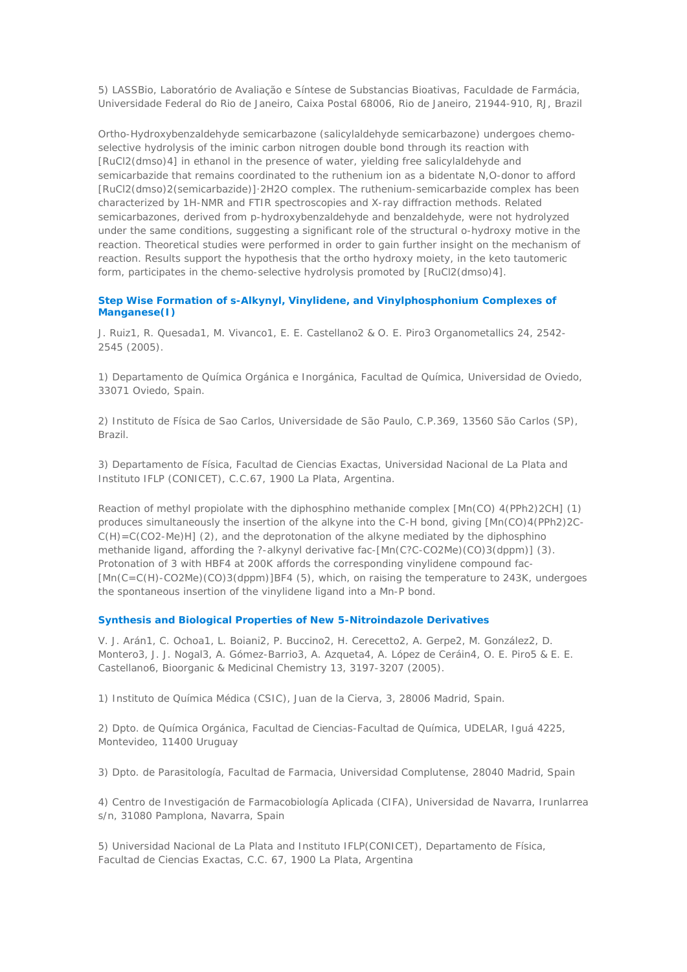5) LASSBio, Laboratório de Avaliação e Síntese de Substancias Bioativas, Faculdade de Farmácia, Universidade Federal do Rio de Janeiro, Caixa Postal 68006, Rio de Janeiro, 21944-910, RJ, Brazil

Ortho-Hydroxybenzaldehyde semicarbazone (salicylaldehyde semicarbazone) undergoes chemoselective hydrolysis of the iminic carbon nitrogen double bond through its reaction with [RuCl2(dmso)4] in ethanol in the presence of water, yielding free salicylaldehyde and semicarbazide that remains coordinated to the ruthenium ion as a bidentate N,O-donor to afford [RuCl2(dmso)2(semicarbazide)]·2H2O complex. The ruthenium-semicarbazide complex has been characterized by 1H-NMR and FTIR spectroscopies and X-ray diffraction methods. Related semicarbazones, derived from p-hydroxybenzaldehyde and benzaldehyde, were not hydrolyzed under the same conditions, suggesting a significant role of the structural o-hydroxy motive in the reaction. Theoretical studies were performed in order to gain further insight on the mechanism of reaction. Results support the hypothesis that the ortho hydroxy moiety, in the keto tautomeric form, participates in the chemo-selective hydrolysis promoted by [RuCl2(dmso)4].

# **Step Wise Formation of s-Alkynyl, Vinylidene, and Vinylphosphonium Complexes of Manganese(I)**

*J. Ruiz1, R. Quesada1, M. Vivanco1, E. E. Castellano2 & O. E. Piro3 Organometallics 24, 2542- 2545 (2005).*

1) Departamento de Química Orgánica e Inorgánica, Facultad de Química, Universidad de Oviedo, 33071 Oviedo, Spain.

2) Instituto de Física de Sao Carlos, Universidade de São Paulo, C.P.369, 13560 São Carlos (SP), Brazil.

3) Departamento de Física, Facultad de Ciencias Exactas, Universidad Nacional de La Plata and Instituto IFLP (CONICET), C.C.67, 1900 La Plata, Argentina.

Reaction of methyl propiolate with the diphosphino methanide complex [Mn(CO) 4(PPh2)2CH] (1) produces simultaneously the insertion of the alkyne into the C-H bond, giving [Mn(CO)4(PPh2)2C-C(H)=C(CO2-Me)H] (2), and the deprotonation of the alkyne mediated by the diphosphino methanide ligand, affording the ?-alkynyl derivative fac-[Mn(C?C-CO2Me)(CO)3(dppm)] (3). Protonation of 3 with HBF4 at 200K affords the corresponding vinylidene compound fac- [Mn(C=C(H)-CO2Me)(CO)3(dppm)]BF4 (5), which, on raising the temperature to 243K, undergoes the spontaneous insertion of the vinylidene ligand into a Mn-P bond.

#### **Synthesis and Biological Properties of New 5-Nitroindazole Derivatives**

*V. J. Arán1, C. Ochoa1, L. Boiani2, P. Buccino2, H. Cerecetto2, A. Gerpe2, M. González2, D. Montero3, J. J. Nogal3, A. Gómez-Barrio3, A. Azqueta4, A. López de Ceráin4, O. E. Piro5 & E. E. Castellano6, Bioorganic & Medicinal Chemistry 13, 3197-3207 (2005).*

1) Instituto de Química Médica (CSIC), Juan de la Cierva, 3, 28006 Madrid, Spain.

2) Dpto. de Química Orgánica, Facultad de Ciencias-Facultad de Química, UDELAR, Iguá 4225, Montevideo, 11400 Uruguay

3) Dpto. de Parasitología, Facultad de Farmacia, Universidad Complutense, 28040 Madrid, Spain

4) Centro de Investigación de Farmacobiología Aplicada (CIFA), Universidad de Navarra, Irunlarrea s/n, 31080 Pamplona, Navarra, Spain

5) Universidad Nacional de La Plata and Instituto IFLP(CONICET), Departamento de Física, Facultad de Ciencias Exactas, C.C. 67, 1900 La Plata, Argentina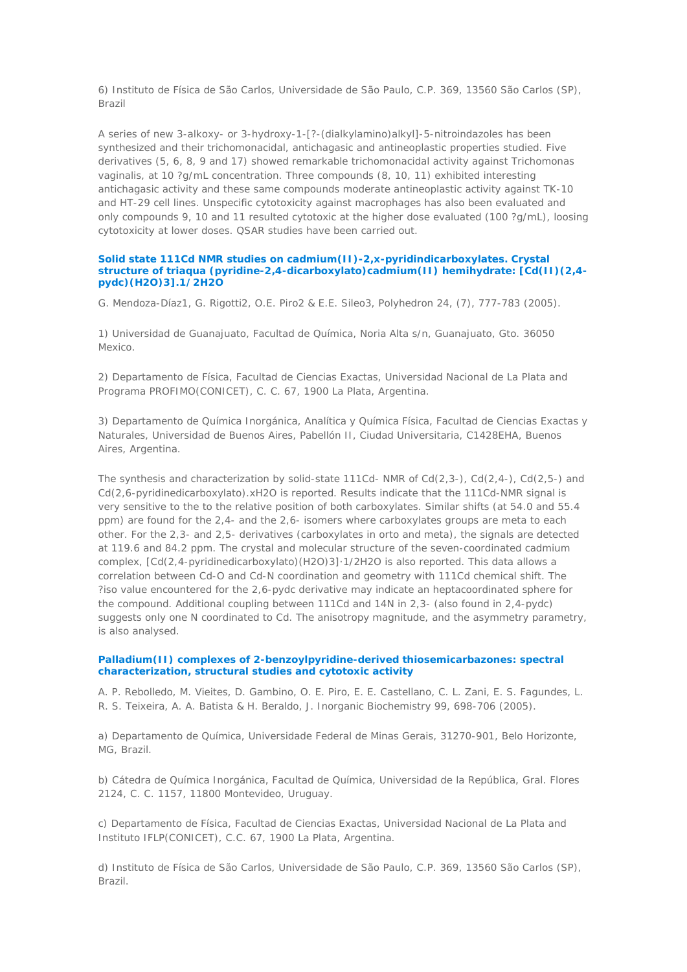6) Instituto de Física de São Carlos, Universidade de São Paulo, C.P. 369, 13560 São Carlos (SP), Brazil

A series of new 3-alkoxy- or 3-hydroxy-1-[?-(dialkylamino)alkyl]-5-nitroindazoles has been synthesized and their trichomonacidal, antichagasic and antineoplastic properties studied. Five derivatives (5, 6, 8, 9 and 17) showed remarkable trichomonacidal activity against Trichomonas vaginalis, at 10 ?g/mL concentration. Three compounds (8, 10, 11) exhibited interesting antichagasic activity and these same compounds moderate antineoplastic activity against TK-10 and HT-29 cell lines. Unspecific cytotoxicity against macrophages has also been evaluated and only compounds 9, 10 and 11 resulted cytotoxic at the higher dose evaluated (100 ?g/mL), loosing cytotoxicity at lower doses. QSAR studies have been carried out.

### **Solid state 111Cd NMR studies on cadmium(II)-2,x-pyridindicarboxylates. Crystal structure of triaqua (pyridine-2,4-dicarboxylato)cadmium(II) hemihydrate: [Cd(II)(2,4 pydc)(H2O)3].1/2H2O**

*G. Mendoza-Díaz1, G. Rigotti2, O.E. Piro2 & E.E. Sileo3, Polyhedron 24, (7), 777-783 (2005).*

1) Universidad de Guanajuato, Facultad de Química, Noria Alta s/n, Guanajuato, Gto. 36050 Mexico.

2) Departamento de Física, Facultad de Ciencias Exactas, Universidad Nacional de La Plata and Programa PROFIMO(CONICET), C. C. 67, 1900 La Plata, Argentina.

3) Departamento de Química Inorgánica, Analítica y Química Física, Facultad de Ciencias Exactas y Naturales, Universidad de Buenos Aires, Pabellón II, Ciudad Universitaria, C1428EHA, Buenos Aires, Argentina.

The synthesis and characterization by solid-state 111Cd- NMR of  $Cd(2,3-)$ ,  $Cd(2,4-)$ ,  $Cd(2,5-)$  and Cd(2,6-pyridinedicarboxylato).xH2O is reported. Results indicate that the 111Cd-NMR signal is very sensitive to the to the relative position of both carboxylates. Similar shifts (at 54.0 and 55.4 ppm) are found for the 2,4- and the 2,6- isomers where carboxylates groups are meta to each other. For the 2,3- and 2,5- derivatives (carboxylates in orto and meta), the signals are detected at 119.6 and 84.2 ppm. The crystal and molecular structure of the seven-coordinated cadmium complex, [Cd(2,4-pyridinedicarboxylato)(H2O)3]·1/2H2O is also reported. This data allows a correlation between Cd-O and Cd-N coordination and geometry with 111Cd chemical shift. The ?iso value encountered for the 2,6-pydc derivative may indicate an heptacoordinated sphere for the compound. Additional coupling between 111Cd and 14N in 2,3- (also found in 2,4-pydc) suggests only one N coordinated to Cd. The anisotropy magnitude, and the asymmetry parametry, is also analysed.

# **Palladium(II) complexes of 2-benzoylpyridine-derived thiosemicarbazones: spectral characterization, structural studies and cytotoxic activity**

*A. P. Rebolledo, M. Vieites, D. Gambino, O. E. Piro, E. E. Castellano, C. L. Zani, E. S. Fagundes, L. R. S. Teixeira, A. A. Batista & H. Beraldo, J. Inorganic Biochemistry 99, 698-706 (2005).*

a) Departamento de Química, Universidade Federal de Minas Gerais, 31270-901, Belo Horizonte, MG, Brazil.

b) Cátedra de Química Inorgánica, Facultad de Química, Universidad de la República, Gral. Flores 2124, C. C. 1157, 11800 Montevideo, Uruguay.

c) Departamento de Física, Facultad de Ciencias Exactas, Universidad Nacional de La Plata and Instituto IFLP(CONICET), C.C. 67, 1900 La Plata, Argentina.

d) Instituto de Física de São Carlos, Universidade de São Paulo, C.P. 369, 13560 São Carlos (SP), Brazil.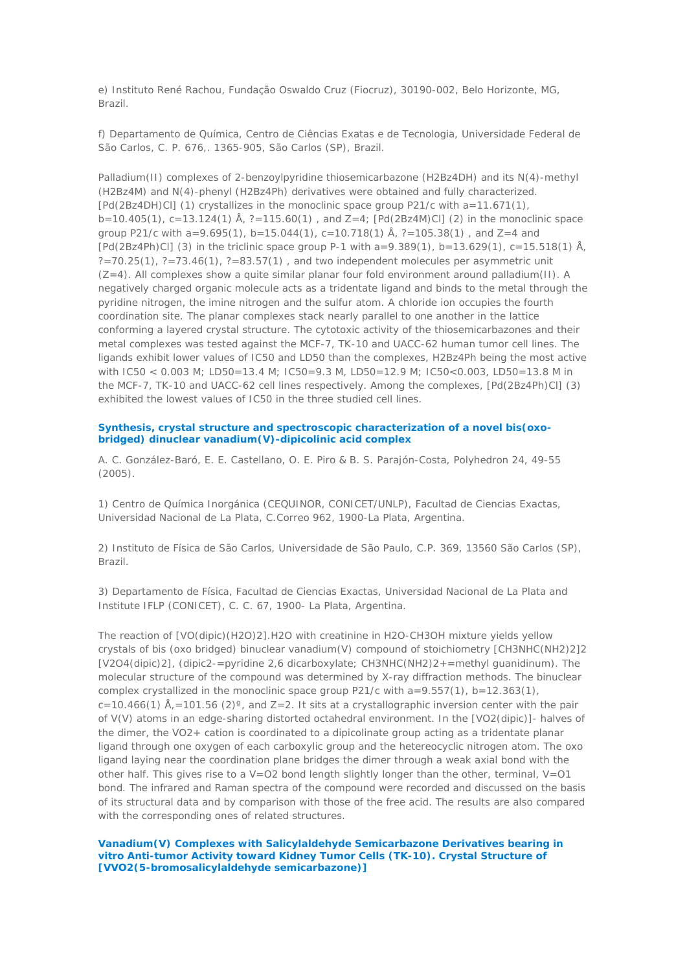e) Instituto René Rachou, Fundação Oswaldo Cruz (Fiocruz), 30190-002, Belo Horizonte, MG, Brazil.

f) Departamento de Química, Centro de Ciências Exatas e de Tecnologia, Universidade Federal de São Carlos, C. P. 676,. 1365-905, São Carlos (SP), Brazil.

Palladium(II) complexes of 2-benzoylpyridine thiosemicarbazone (H2Bz4DH) and its N(4)-methyl (H2Bz4M) and N(4)-phenyl (H2Bz4Ph) derivatives were obtained and fully characterized. [Pd(2Bz4DH)Cl] (1) crystallizes in the monoclinic space group P21/c with a=11.671(1), b=10.405(1), c=13.124(1) Å, ?=115.60(1) , and Z=4; [Pd(2Bz4M)Cl] (2) in the monoclinic space group P21/c with  $a=9.695(1)$ ,  $b=15.044(1)$ ,  $c=10.718(1)$  Å,  $?=105.38(1)$ , and  $Z=4$  and  $[Pd(2Bz4Ph)Cl]$  (3) in the triclinic space group P-1 with a=9.389(1), b=13.629(1), c=15.518(1) Å,  $? = 70.25(1)$ ,  $? = 73.46(1)$ ,  $? = 83.57(1)$ , and two independent molecules per asymmetric unit  $(Z=4)$ . All complexes show a quite similar planar four fold environment around palladium(II). A negatively charged organic molecule acts as a tridentate ligand and binds to the metal through the pyridine nitrogen, the imine nitrogen and the sulfur atom. A chloride ion occupies the fourth coordination site. The planar complexes stack nearly parallel to one another in the lattice conforming a layered crystal structure. The cytotoxic activity of the thiosemicarbazones and their metal complexes was tested against the MCF-7, TK-10 and UACC-62 human tumor cell lines. The ligands exhibit lower values of IC50 and LD50 than the complexes, H2Bz4Ph being the most active with IC50 < 0.003 M; LD50=13.4 M; IC50=9.3 M, LD50=12.9 M; IC50<0.003, LD50=13.8 M in the MCF-7, TK-10 and UACC-62 cell lines respectively. Among the complexes, [Pd(2Bz4Ph)Cl] (3) exhibited the lowest values of IC50 in the three studied cell lines.

#### **Synthesis, crystal structure and spectroscopic characterization of a novel bis(oxobridged) dinuclear vanadium(V)-dipicolinic acid complex**

*A. C. González-Baró, E. E. Castellano, O. E. Piro & B. S. Parajón-Costa, Polyhedron 24, 49-55 (2005).*

1) Centro de Química Inorgánica (CEQUINOR, CONICET/UNLP), Facultad de Ciencias Exactas, Universidad Nacional de La Plata, C.Correo 962, 1900-La Plata, Argentina.

2) Instituto de Física de São Carlos, Universidade de São Paulo, C.P. 369, 13560 São Carlos (SP), Brazil.

3) Departamento de Física, Facultad de Ciencias Exactas, Universidad Nacional de La Plata and Institute IFLP (CONICET), C. C. 67, 1900- La Plata, Argentina.

The reaction of [VO(dipic)(H2O)2].H2O with creatinine in H2O-CH3OH mixture yields yellow crystals of bis (oxo bridged) binuclear vanadium(V) compound of stoichiometry [CH3NHC(NH2)2]2 [V2O4(dipic)2], (dipic2-=pyridine 2,6 dicarboxylate; CH3NHC(NH2)2+=methyl guanidinum). The molecular structure of the compound was determined by X-ray diffraction methods. The binuclear complex crystallized in the monoclinic space group P21/c with a=9.557(1), b=12.363(1),  $c=10.466(1)$  Å, = 101.56 (2)°, and Z=2. It sits at a crystallographic inversion center with the pair of V(V) atoms in an edge-sharing distorted octahedral environment. In the [VO2(dipic)]- halves of the dimer, the VO2+ cation is coordinated to a dipicolinate group acting as a tridentate planar ligand through one oxygen of each carboxylic group and the hetereocyclic nitrogen atom. The oxo ligand laying near the coordination plane bridges the dimer through a weak axial bond with the other half. This gives rise to a  $V=O2$  bond length slightly longer than the other, terminal,  $V=O1$ bond. The infrared and Raman spectra of the compound were recorded and discussed on the basis of its structural data and by comparison with those of the free acid. The results are also compared with the corresponding ones of related structures.

**Vanadium(V) Complexes with Salicylaldehyde Semicarbazone Derivatives bearing in vitro Anti-tumor Activity toward Kidney Tumor Cells (TK-10). Crystal Structure of [VVO2(5-bromosalicylaldehyde semicarbazone)]**